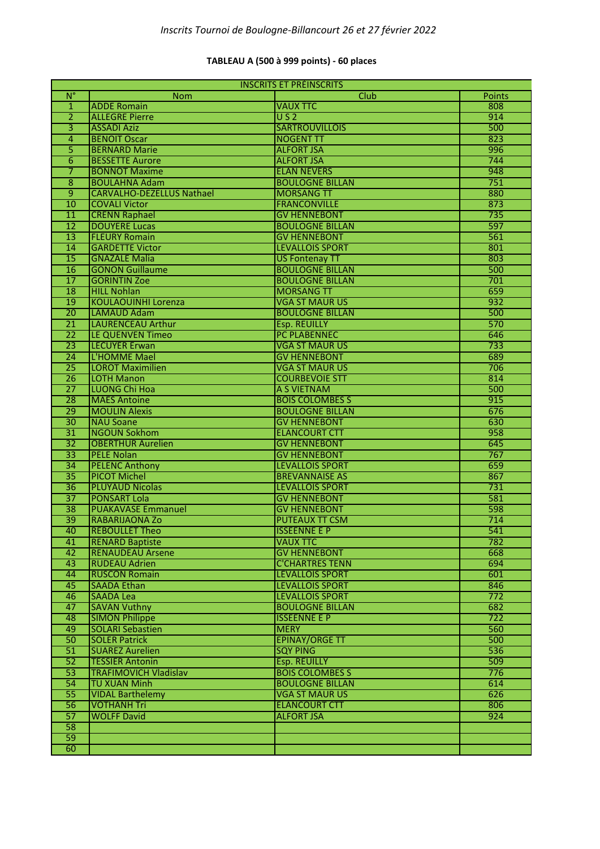#### **TABLEAU A (500 à 999 points) - 60 places**

| <b>INSCRITS ET PRÉINSCRITS</b> |                                  |                        |               |
|--------------------------------|----------------------------------|------------------------|---------------|
| $\overline{N}^{\circ}$         | <b>Nom</b>                       | Club                   | <b>Points</b> |
| $\mathbf{1}$                   | <b>ADDE Romain</b>               | <b>VAUX TTC</b>        | 808           |
| 2                              | <b>ALLEGRE Pierre</b>            | $\overline{U}$ S 2     | 914           |
| $\overline{3}$                 | <b>ASSADI Aziz</b>               | <b>SARTROUVILLOIS</b>  | 500           |
| 4                              | <b>BENOIT Oscar</b>              | <b>NOGENT TT</b>       | 823           |
| 5                              | <b>BERNARD Marie</b>             | <b>ALFORT JSA</b>      | 996           |
| 6                              | <b>BESSETTE Aurore</b>           | <b>ALFORT JSA</b>      | 744           |
| 7                              | <b>BONNOT Maxime</b>             | <b>ELAN NEVERS</b>     | 948           |
| 8                              | <b>BOULAHNA Adam</b>             | <b>BOULOGNE BILLAN</b> | 751           |
| $\overline{9}$                 | <b>CARVALHO-DEZELLUS Nathael</b> | <b>MORSANG TT</b>      | 880           |
| 10                             | <b>COVALI Victor</b>             | <b>FRANCONVILLE</b>    | 873           |
| $\overline{11}$                | <b>CRENN Raphael</b>             | <b>GV HENNEBONT</b>    | 735           |
| $\overline{12}$                | <b>DOUYERE Lucas</b>             | <b>BOULOGNE BILLAN</b> | 597           |
| $\overline{13}$                | <b>FLEURY Romain</b>             | <b>GV HENNEBONT</b>    | 561           |
| 14                             | <b>GARDETTE Victor</b>           | <b>LEVALLOIS SPORT</b> | 801           |
| 15                             | <b>GNAZALE Malia</b>             | <b>US Fontenay TT</b>  | 803           |
| 16                             | <b>GONON Guillaume</b>           | <b>BOULOGNE BILLAN</b> | 500           |
| $\overline{17}$                | <b>GORINTIN Zoe</b>              | <b>BOULOGNE BILLAN</b> | 701           |
| 18                             | <b>HILL Nohlan</b>               | <b>MORSANG TT</b>      | 659           |
| 19                             | <b>KOULAOUINHI Lorenza</b>       | <b>VGA ST MAUR US</b>  | 932           |
| $\overline{20}$                | <b>LAMAUD Adam</b>               | <b>BOULOGNE BILLAN</b> | 500           |
| $\overline{21}$                | <b>LAURENCEAU Arthur</b>         | <b>Esp. REUILLY</b>    | 570           |
| $\overline{22}$                | LE QUENVEN Timeo                 | <b>PC PLABENNEC</b>    | 646           |
| $\overline{23}$                | <b>LECUYER Erwan</b>             | <b>VGA ST MAUR US</b>  | 733           |
| 24                             | L'HOMME Mael                     | <b>GV HENNEBONT</b>    | 689           |
| $\overline{25}$                | <b>LOROT Maximilien</b>          | <b>VGA ST MAUR US</b>  | 706           |
| $\overline{26}$                | <b>LOTH Manon</b>                | <b>COURBEVOIE STT</b>  | 814           |
| $\overline{27}$                | LUONG Chi Hoa                    | A S VIETNAM            | 500           |
| $\overline{28}$                | <b>MAES Antoine</b>              | <b>BOIS COLOMBES S</b> | 915           |
| 29                             | <b>MOULIN Alexis</b>             | <b>BOULOGNE BILLAN</b> | 676           |
| $\overline{30}$                | <b>NAU Soane</b>                 | <b>GV HENNEBONT</b>    | 630           |
| $\overline{31}$                | <b>NGOUN Sokhom</b>              | <b>ELANCOURT CTT</b>   | 958           |
| $\overline{32}$                | <b>OBERTHUR Aurelien</b>         | <b>GV HENNEBONT</b>    | 645           |
| $\overline{33}$                | <b>PELE Nolan</b>                | <b>GV HENNEBONT</b>    | 767           |
| 34                             | <b>PELENC Anthony</b>            | <b>LEVALLOIS SPORT</b> | 659           |
| $\overline{35}$                | <b>PICOT Michel</b>              | <b>BREVANNAISE AS</b>  | 867           |
| $\overline{36}$                | <b>PLUYAUD Nicolas</b>           | <b>LEVALLOIS SPORT</b> | 731           |
| $\overline{37}$                | <b>PONSART Lola</b>              | <b>GV HENNEBONT</b>    | 581           |
| $\overline{38}$                | <b>PUAKAVASE Emmanuel</b>        | <b>GV HENNEBONT</b>    | 598           |
| 39                             | <b>RABARIJAONA Zo</b>            | <b>PUTEAUX TT CSM</b>  | 714           |
| 40                             | <b>REBOULLET Theo</b>            | <b>ISSEENNE E P</b>    | 541           |
| 41                             | <b>RENARD Baptiste</b>           | <b>VAUX TTC</b>        | 782           |
| 42                             | <b>RENAUDEAU Arsene</b>          | <b>GV HENNEBONT</b>    | 668           |
| 43                             | <b>RUDEAU Adrien</b>             | <b>C'CHARTRES TENN</b> | 694           |
| 44                             | <b>RUSCON Romain</b>             | <b>LEVALLOIS SPORT</b> | 601           |
| 45                             | <b>SAADA Ethan</b>               | <b>LEVALLOIS SPORT</b> | 846           |
| 46                             | <b>SAADA Lea</b>                 | <b>LEVALLOIS SPORT</b> | 772           |
| 47                             | <b>SAVAN Vuthny</b>              | <b>BOULOGNE BILLAN</b> | 682           |
| 48                             | <b>SIMON Philippe</b>            | <b>ISSEENNE E P</b>    | 722           |
| 49                             | <b>SOLARI Sebastien</b>          | <b>MERY</b>            | 560           |
| 50                             | <b>SOLER Patrick</b>             | <b>EPINAY/ORGE TT</b>  | 500           |
| 51                             | <b>SUAREZ Aurelien</b>           | <b>SQY PING</b>        | 536           |
| 52                             | <b>TESSIER Antonin</b>           | <b>Esp. REUILLY</b>    | 509           |
| 53                             | <b>TRAFIMOVICH Vladislav</b>     | <b>BOIS COLOMBES S</b> | 776           |
| 54                             | <b>TU XUAN Minh</b>              | <b>BOULOGNE BILLAN</b> | 614           |
| $\overline{55}$                | <b>VIDAL Barthelemy</b>          | <b>VGA ST MAUR US</b>  | 626           |
| 56                             | <b>VOTHANH Tri</b>               | <b>ELANCOURT CTT</b>   | 806           |
| 57                             | <b>WOLFF David</b>               | <b>ALFORT JSA</b>      | 924           |
| 58                             |                                  |                        |               |
| 59                             |                                  |                        |               |
| 60                             |                                  |                        |               |
|                                |                                  |                        |               |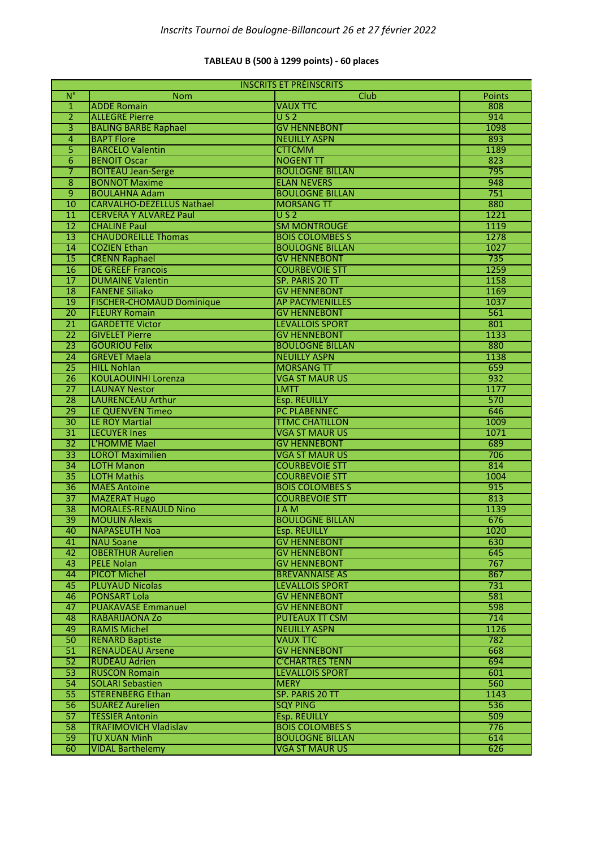## **TABLEAU B (500 à 1299 points) - 60 places**

| <b>INSCRITS ET PRÉINSCRITS</b> |                                  |                        |               |
|--------------------------------|----------------------------------|------------------------|---------------|
| $N^{\circ}$                    | Nom                              | Club                   | <b>Points</b> |
| $\mathbf{1}$                   | <b>ADDE Romain</b>               | <b>VAUX TTC</b>        | 808           |
| 2                              | <b>ALLEGRE Pierre</b>            | $\overline{U}$ S 2     | 914           |
| $\overline{3}$                 | <b>BALING BARBE Raphael</b>      | <b>GV HENNEBONT</b>    | 1098          |
| 4                              | <b>BAPT Flore</b>                | <b>NEUILLY ASPN</b>    | 893           |
| 5                              | <b>BARCELO Valentin</b>          | <b>CTTCMM</b>          | 1189          |
| 6                              | <b>BENOIT Oscar</b>              | <b>NOGENT TT</b>       | 823           |
| 7                              | <b>BOITEAU Jean-Serge</b>        | <b>BOULOGNE BILLAN</b> | 795           |
| $\overline{8}$                 | <b>BONNOT Maxime</b>             | <b>ELAN NEVERS</b>     | 948           |
| $\overline{9}$                 | <b>BOULAHNA Adam</b>             | <b>BOULOGNE BILLAN</b> | 751           |
| 10                             | <b>CARVALHO-DEZELLUS Nathael</b> | <b>MORSANG TT</b>      | 880           |
| $\overline{11}$                | <b>CERVERA Y ALVAREZ Paul</b>    | $\overline{U}$ S 2     | 1221          |
| $\overline{12}$                | <b>CHALINE Paul</b>              | <b>SM MONTROUGE</b>    | 1119          |
| $\overline{13}$                | <b>CHAUDOREILLE Thomas</b>       | <b>BOIS COLOMBES S</b> | 1278          |
| $\overline{14}$                | <b>COZIEN Ethan</b>              | <b>BOULOGNE BILLAN</b> | 1027          |
| $\overline{15}$                | <b>CRENN Raphael</b>             | <b>GV HENNEBONT</b>    | 735           |
| 16                             | <b>DE GREEF Francois</b>         | <b>COURBEVOIE STT</b>  | 1259          |
| $\overline{17}$                | <b>DUMAINE Valentin</b>          | SP. PARIS 20 TT        | 1158          |
| 18                             | <b>FANENE Siliako</b>            | <b>GV HENNEBONT</b>    | 1169          |
| 19                             | <b>FISCHER-CHOMAUD Dominique</b> | <b>AP PACYMENILLES</b> | 1037          |
| $\overline{20}$                | <b>FLEURY Romain</b>             | <b>GV HENNEBONT</b>    | 561           |
| 21                             | <b>GARDETTE Victor</b>           | <b>LEVALLOIS SPORT</b> | 801           |
|                                | <b>GIVELET Pierre</b>            | <b>GV HENNEBONT</b>    |               |
| 22                             |                                  | <b>BOULOGNE BILLAN</b> | 1133          |
| $\overline{23}$                | <b>GOURIOU Felix</b>             | <b>NEUILLY ASPN</b>    | 880           |
| $\overline{24}$                | <b>GREVET Maela</b>              |                        | 1138          |
| $\overline{25}$                | <b>HILL Nohlan</b>               | <b>MORSANG TT</b>      | 659           |
| $\overline{26}$                | <b>KOULAOUINHI Lorenza</b>       | <b>VGA ST MAUR US</b>  | 932           |
| $\overline{27}$                | <b>LAUNAY Nestor</b>             | <b>LMTT</b>            | 1177          |
| 28                             | <b>LAURENCEAU Arthur</b>         | <b>Esp. REUILLY</b>    | 570           |
| 29                             | LE QUENVEN Timeo                 | PC PLABENNEC           | 646           |
| $\overline{30}$                | <b>LE ROY Martial</b>            | <b>TTMC CHATILLON</b>  | 1009          |
| $\overline{31}$                | <b>LECUYER Ines</b>              | <b>VGA ST MAUR US</b>  | 1071          |
| $\overline{32}$                | L'HOMME Mael                     | <b>GV HENNEBONT</b>    | 689           |
| $\overline{33}$                | <b>LOROT Maximilien</b>          | <b>VGA ST MAUR US</b>  | 706           |
| $\overline{34}$                | <b>LOTH Manon</b>                | <b>COURBEVOIE STT</b>  | 814           |
| $\overline{35}$                | <b>LOTH Mathis</b>               | <b>COURBEVOIE STT</b>  | 1004          |
| 36                             | <b>MAES Antoine</b>              | <b>BOIS COLOMBES S</b> | 915           |
| $\overline{37}$                | <b>MAZERAT Hugo</b>              | <b>COURBEVOIE STT</b>  | 813           |
| $\overline{38}$                | <b>MORALES-RENAULD Nino</b>      | <b>JAM</b>             | 1139          |
| 39                             | <b>MOULIN Alexis</b>             | <b>BOULOGNE BILLAN</b> | 676           |
| 40                             | <b>NAPASEUTH Noa</b>             | <b>Esp. REUILLY</b>    | 1020          |
| 41                             | <b>NAU Soane</b>                 | <b>GV HENNEBONT</b>    | 630           |
| 42                             | <b>OBERTHUR Aurelien</b>         | <b>GV HENNEBONT</b>    | 645           |
| 43                             | <b>PELE Nolan</b>                | <b>GV HENNEBONT</b>    | 767           |
| 44                             | <b>PICOT Michel</b>              | <b>BREVANNAISE AS</b>  | 867           |
| 45                             | <b>PLUYAUD Nicolas</b>           | <b>LEVALLOIS SPORT</b> | 731           |
| 46                             | <b>PONSART Lola</b>              | <b>GV HENNEBONT</b>    | 581           |
| 47                             | <b>PUAKAVASE Emmanuel</b>        | <b>GV HENNEBONT</b>    | 598           |
| 48                             | RABARIJAONA Zo                   | <b>PUTEAUX TT CSM</b>  | 714           |
| 49                             | <b>RAMIS Michel</b>              | <b>NEUILLY ASPN</b>    | 1126          |
| 50                             | <b>RENARD Baptiste</b>           | <b>VAUX TTC</b>        | 782           |
| 51                             | <b>RENAUDEAU Arsene</b>          | <b>GV HENNEBONT</b>    | 668           |
| 52                             | <b>RUDEAU Adrien</b>             | <b>C'CHARTRES TENN</b> | 694           |
| 53                             | <b>RUSCON Romain</b>             | <b>LEVALLOIS SPORT</b> | 601           |
| 54                             | <b>SOLARI Sebastien</b>          | <b>MERY</b>            | 560           |
| $\overline{55}$                | <b>STERENBERG Ethan</b>          | SP. PARIS 20 TT        | 1143          |
| 56                             | <b>SUAREZ Aurelien</b>           | <b>SQY PING</b>        | 536           |
| 57                             | <b>TESSIER Antonin</b>           | <b>Esp. REUILLY</b>    | 509           |
| 58                             | <b>TRAFIMOVICH Vladislav</b>     | <b>BOIS COLOMBES S</b> | 776           |
| 59                             | <b>TU XUAN Minh</b>              | <b>BOULOGNE BILLAN</b> | 614           |
| 60                             | <b>VIDAL Barthelemy</b>          | <b>VGA ST MAUR US</b>  | 626           |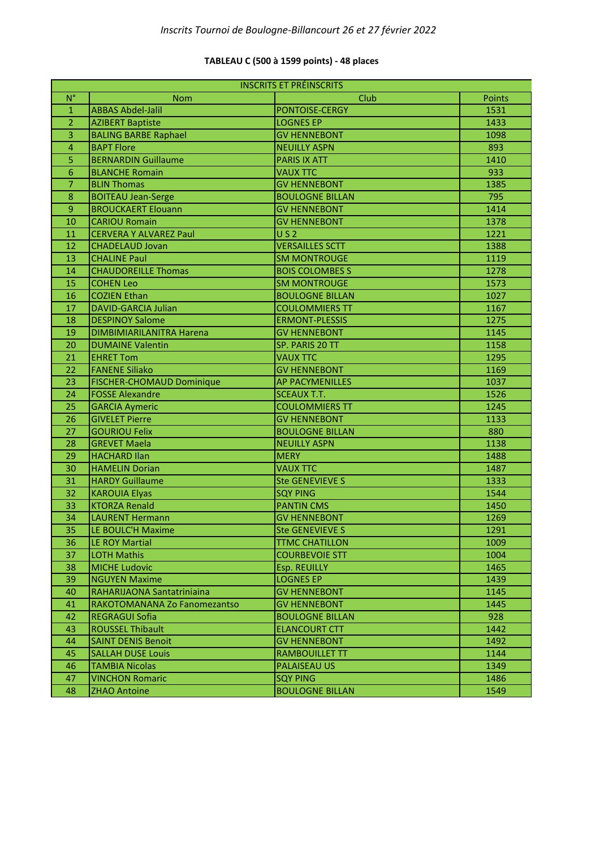### **TABLEAU C (500 à 1599 points) - 48 places**

| <b>INSCRITS ET PRÉINSCRITS</b> |                                  |                        |        |
|--------------------------------|----------------------------------|------------------------|--------|
| $N^{\circ}$                    | <b>Nom</b>                       | Club                   | Points |
| $\mathbf{1}$                   | <b>ABBAS Abdel-Jalil</b>         | PONTOISE-CERGY         | 1531   |
| $\overline{2}$                 | <b>AZIBERT Baptiste</b>          | <b>LOGNES EP</b>       | 1433   |
| 3                              | <b>BALING BARBE Raphael</b>      | <b>GV HENNEBONT</b>    | 1098   |
| $\overline{4}$                 | <b>BAPT Flore</b>                | <b>NEUILLY ASPN</b>    | 893    |
| 5                              | <b>BERNARDIN Guillaume</b>       | <b>PARIS IX ATT</b>    | 1410   |
| 6                              | <b>BLANCHE Romain</b>            | <b>VAUX TTC</b>        | 933    |
| 7                              | <b>BLIN Thomas</b>               | <b>GV HENNEBONT</b>    | 1385   |
| $\boldsymbol{8}$               | <b>BOITEAU Jean-Serge</b>        | <b>BOULOGNE BILLAN</b> | 795    |
| $\mathsf 9$                    | <b>BROUCKAERT Elouann</b>        | <b>GV HENNEBONT</b>    | 1414   |
| 10                             | <b>CARIOU Romain</b>             | <b>GV HENNEBONT</b>    | 1378   |
| 11                             | <b>CERVERA Y ALVAREZ Paul</b>    | US <sub>2</sub>        | 1221   |
| 12                             | <b>CHADELAUD Jovan</b>           | <b>VERSAILLES SCTT</b> | 1388   |
| 13                             | <b>CHALINE Paul</b>              | <b>SM MONTROUGE</b>    | 1119   |
| 14                             | <b>CHAUDOREILLE Thomas</b>       | <b>BOIS COLOMBES S</b> | 1278   |
| 15                             | <b>COHEN Leo</b>                 | <b>SM MONTROUGE</b>    | 1573   |
| 16                             | <b>COZIEN Ethan</b>              | <b>BOULOGNE BILLAN</b> | 1027   |
| 17                             | <b>DAVID-GARCIA Julian</b>       | <b>COULOMMIERS TT</b>  | 1167   |
| 18                             | <b>DESPINOY Salome</b>           | <b>ERMONT-PLESSIS</b>  | 1275   |
| 19                             | DIMBIMIARILANITRA Harena         | <b>GV HENNEBONT</b>    | 1145   |
| 20                             | <b>DUMAINE Valentin</b>          | SP. PARIS 20 TT        | 1158   |
| 21                             | <b>EHRET Tom</b>                 | <b>VAUX TTC</b>        | 1295   |
| 22                             | <b>FANENE Siliako</b>            | <b>GV HENNEBONT</b>    | 1169   |
| 23                             | <b>FISCHER-CHOMAUD Dominique</b> | <b>AP PACYMENILLES</b> | 1037   |
| 24                             | <b>FOSSE Alexandre</b>           | <b>SCEAUX T.T.</b>     | 1526   |
| 25                             | <b>GARCIA Aymeric</b>            | <b>COULOMMIERS TT</b>  | 1245   |
| 26                             | <b>GIVELET Pierre</b>            | <b>GV HENNEBONT</b>    | 1133   |
| 27                             | <b>GOURIOU Felix</b>             | <b>BOULOGNE BILLAN</b> | 880    |
| 28                             | <b>GREVET Maela</b>              | <b>NEUILLY ASPN</b>    | 1138   |
| 29                             | <b>HACHARD Ilan</b>              | <b>MERY</b>            | 1488   |
| 30                             | <b>HAMELIN Dorian</b>            | <b>VAUX TTC</b>        | 1487   |
| 31                             | <b>HARDY Guillaume</b>           | <b>Ste GENEVIEVE S</b> | 1333   |
| 32                             | <b>KAROUIA Elyas</b>             | <b>SQY PING</b>        | 1544   |
| 33                             | <b>KTORZA Renald</b>             | <b>PANTIN CMS</b>      | 1450   |
| 34                             | <b>LAURENT Hermann</b>           | <b>GV HENNEBONT</b>    | 1269   |
| 35                             | LE BOULC'H Maxime                | <b>Ste GENEVIEVE S</b> | 1291   |
| 36                             | LE ROY Martial                   | <b>TTMC CHATILLON</b>  | 1009   |
| 37                             | <b>LOTH Mathis</b>               | <b>COURBEVOIE STT</b>  | 1004   |
| 38                             | <b>MICHE Ludovic</b>             | Esp. REUILLY           | 1465   |
| 39                             | <b>NGUYEN Maxime</b>             | <b>LOGNES EP</b>       | 1439   |
| 40                             | RAHARIJAONA Santatriniaina       | <b>GV HENNEBONT</b>    | 1145   |
| 41                             | RAKOTOMANANA Zo Fanomezantso     | <b>GV HENNEBONT</b>    | 1445   |
| 42                             | <b>REGRAGUI Sofia</b>            | <b>BOULOGNE BILLAN</b> | 928    |
| 43                             | <b>ROUSSEL Thibault</b>          | <b>ELANCOURT CTT</b>   | 1442   |
| 44                             | <b>SAINT DENIS Benoit</b>        | <b>GV HENNEBONT</b>    | 1492   |
| 45                             | <b>SALLAH DUSE Louis</b>         | <b>RAMBOUILLET TT</b>  | 1144   |
| 46                             | <b>TAMBIA Nicolas</b>            | <b>PALAISEAU US</b>    | 1349   |
| 47                             | <b>VINCHON Romaric</b>           | <b>SQY PING</b>        | 1486   |
| 48                             | <b>ZHAO Antoine</b>              | <b>BOULOGNE BILLAN</b> | 1549   |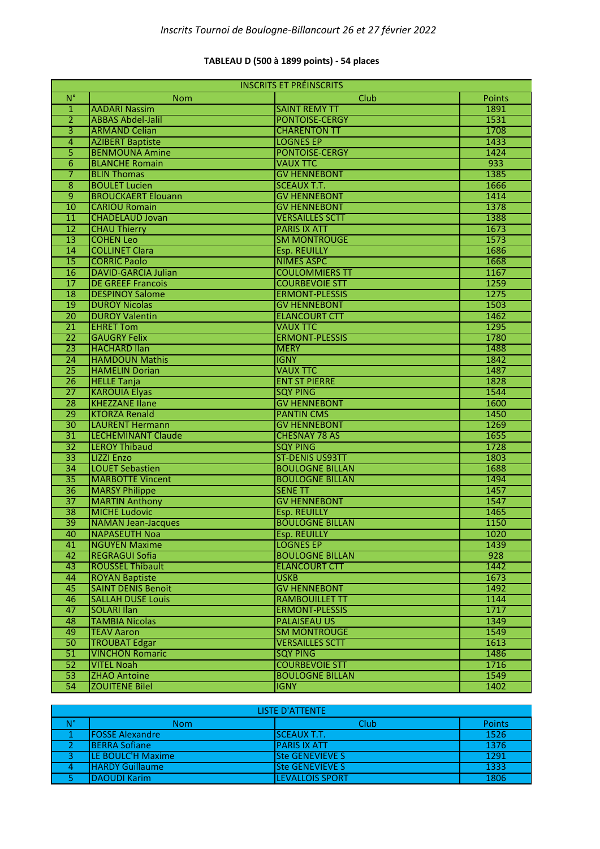### **TABLEAU D (500 à 1899 points) - 54 places**

| <b>INSCRITS ET PRÉINSCRITS</b> |                            |                        |               |
|--------------------------------|----------------------------|------------------------|---------------|
| $N^{\circ}$                    | <b>Nom</b>                 | Club                   | <b>Points</b> |
| $\mathbf{1}$                   | <b>AADARI Nassim</b>       | <b>SAINT REMY TT</b>   | 1891          |
| $\overline{2}$                 | <b>ABBAS Abdel-Jalil</b>   | <b>PONTOISE-CERGY</b>  | 1531          |
| $\overline{\mathbf{3}}$        | <b>ARMAND Celian</b>       | <b>CHARENTON TT</b>    | 1708          |
| 4                              | <b>AZIBERT Baptiste</b>    | <b>LOGNES EP</b>       | 1433          |
| 5                              | <b>BENMOUNA Amine</b>      | <b>PONTOISE-CERGY</b>  | 1424          |
| 6                              | <b>BLANCHE Romain</b>      | <b>VAUX TTC</b>        | 933           |
| 7                              | <b>BLIN Thomas</b>         | <b>GV HENNEBONT</b>    | 1385          |
| 8                              | <b>BOULET Lucien</b>       | <b>SCEAUX T.T.</b>     | 1666          |
| $\overline{9}$                 | <b>BROUCKAERT Elouann</b>  | <b>GV HENNEBONT</b>    | 1414          |
| 10                             | <b>CARIOU Romain</b>       | <b>GV HENNEBONT</b>    | 1378          |
| $\overline{11}$                | <b>CHADELAUD Jovan</b>     | <b>VERSAILLES SCTT</b> | 1388          |
| $\overline{12}$                | <b>CHAU Thierry</b>        | <b>PARIS IX ATT</b>    | 1673          |
| $\overline{13}$                | <b>COHEN Leo</b>           | <b>SM MONTROUGE</b>    | 1573          |
| 14                             | <b>COLLINET Clara</b>      | <b>Esp. REUILLY</b>    | 1686          |
| $\overline{15}$                | <b>CORRIC Paolo</b>        | <b>NIMES ASPC</b>      | 1668          |
| 16                             | <b>DAVID-GARCIA Julian</b> | <b>COULOMMIERS TT</b>  | 1167          |
| $\overline{17}$                | <b>DE GREEF Francois</b>   | <b>COURBEVOIE STT</b>  | 1259          |
| 18                             | <b>DESPINOY Salome</b>     | <b>ERMONT-PLESSIS</b>  | 1275          |
| 19                             | <b>DUROY Nicolas</b>       | <b>GV HENNEBONT</b>    | 1503          |
| 20                             | <b>DUROY Valentin</b>      | <b>ELANCOURT CTT</b>   | 1462          |
| 21                             | <b>EHRET Tom</b>           | <b>VAUX TTC</b>        | 1295          |
| $\overline{22}$                | <b>GAUGRY Felix</b>        | <b>ERMONT-PLESSIS</b>  | 1780          |
| $\overline{23}$                | <b>HACHARD Ilan</b>        | <b>MERY</b>            | 1488          |
| 24                             | <b>HAMDOUN Mathis</b>      | <b>IGNY</b>            | 1842          |
| $\overline{25}$                | <b>HAMELIN Dorian</b>      | <b>VAUX TTC</b>        | 1487          |
| 26                             | <b>HELLE Tanja</b>         | <b>ENT ST PIERRE</b>   | 1828          |
| $\overline{27}$                | <b>KAROUIA Elyas</b>       | <b>SQY PING</b>        | 1544          |
| 28                             | <b>KHEZZANE Ilane</b>      | <b>GV HENNEBONT</b>    | 1600          |
| 29                             | <b>KTORZA Renald</b>       | <b>PANTIN CMS</b>      | 1450          |
| $\overline{30}$                | <b>LAURENT Hermann</b>     | <b>GV HENNEBONT</b>    | 1269          |
| $\overline{31}$                | <b>LECHEMINANT Claude</b>  | <b>CHESNAY 78 AS</b>   | 1655          |
| $\overline{32}$                | <b>LEROY Thibaud</b>       | <b>SQY PING</b>        | 1728          |
| $\overline{33}$                | <b>LIZZI Enzo</b>          | <b>ST-DENIS US93TT</b> | 1803          |
| 34                             | <b>LOUET Sebastien</b>     | <b>BOULOGNE BILLAN</b> | 1688          |
| $\overline{35}$                | <b>MARBOTTE Vincent</b>    | <b>BOULOGNE BILLAN</b> | 1494          |
| $\overline{36}$                | <b>MARSY Philippe</b>      | <b>SENE TT</b>         | 1457          |
| $\overline{37}$                | <b>MARTIN Anthony</b>      | <b>GV HENNEBONT</b>    | 1547          |
| $\overline{38}$                | <b>MICHE Ludovic</b>       | <b>Esp. REUILLY</b>    | 1465          |
| $\overline{39}$                | <b>NAMAN Jean-Jacques</b>  | <b>BOULOGNE BILLAN</b> | 1150          |
| 40                             | NAPASEUTH Noa              | Esp. REUILLY           | 1020          |
| 41                             | <b>NGUYEN Maxime</b>       | <b>LOGNES EP</b>       | 1439          |
| 42                             | <b>REGRAGUI Sofia</b>      | <b>BOULOGNE BILLAN</b> | 928           |
| 43                             | <b>ROUSSEL Thibault</b>    | <b>ELANCOURT CTT</b>   | 1442          |
| 44                             | <b>ROYAN Baptiste</b>      | <b>USKB</b>            | 1673          |
| 45                             | <b>SAINT DENIS Benoit</b>  | <b>GV HENNEBONT</b>    | 1492          |
| 46                             | <b>SALLAH DUSE Louis</b>   | <b>RAMBOUILLET TT</b>  | 1144          |
| 47                             | <b>SOLARI Ilan</b>         | <b>ERMONT-PLESSIS</b>  | 1717          |
| 48                             | <b>TAMBIA Nicolas</b>      | <b>PALAISEAU US</b>    | 1349          |
| 49                             | <b>TEAV Aaron</b>          | <b>SM MONTROUGE</b>    | 1549          |
| 50                             | <b>TROUBAT Edgar</b>       | <b>VERSAILLES SCTT</b> | 1613          |
| 51                             | <b>VINCHON Romaric</b>     | <b>SQY PING</b>        | 1486          |
| 52                             | <b>VITEL Noah</b>          | <b>COURBEVOIE STT</b>  | 1716          |
| $\overline{53}$                | <b>ZHAO Antoine</b>        | <b>BOULOGNE BILLAN</b> | 1549          |
| 54                             | <b>ZOUITENE Bilel</b>      | <b>IGNY</b>            | 1402          |

| <b>LISTE D'ATTENTE</b> |                         |                        |               |
|------------------------|-------------------------|------------------------|---------------|
| N°                     | Nom                     | Club                   | <b>Points</b> |
|                        | <b>IFOSSE Alexandre</b> | <b>SCEAUX T.T.</b>     | 1526          |
|                        | <b>BERRA Sofiane</b>    | <b>PARIS IX ATT</b>    | 1376          |
|                        | LE BOULC'H Maxime       | <b>Ste GENEVIEVE S</b> | 1291          |
|                        | <b>HARDY Guillaume</b>  | <b>Ste GENEVIEVE S</b> | 1333          |
|                        | <b>IDAOUDI Karim</b>    | <b>LEVALLOIS SPORT</b> | 1806          |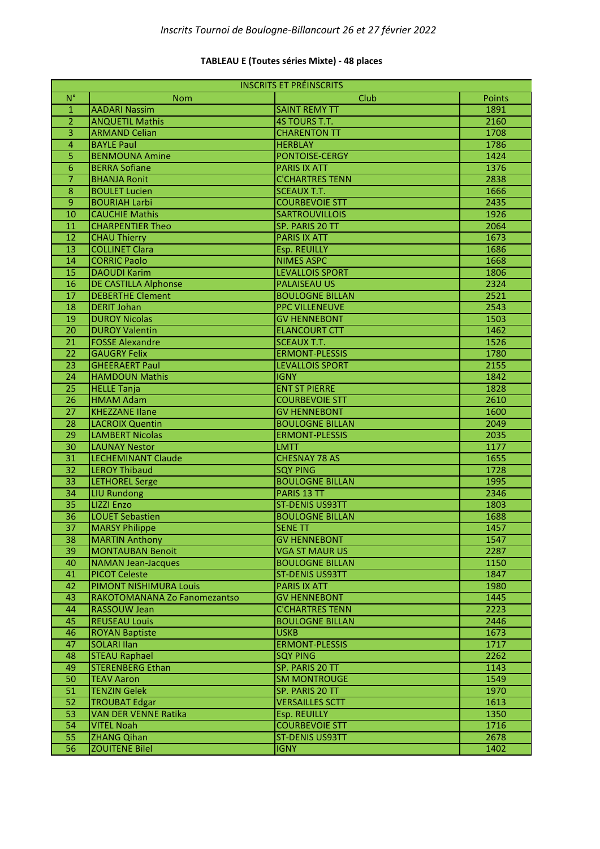### **TABLEAU E (Toutes séries Mixte) - 48 places**

| <b>INSCRITS ET PRÉINSCRITS</b> |                              |                        |        |
|--------------------------------|------------------------------|------------------------|--------|
| $N^{\circ}$                    | <b>Nom</b>                   | Club                   | Points |
| $\mathbf{1}$                   | <b>AADARI Nassim</b>         | <b>SAINT REMY TT</b>   | 1891   |
| $\overline{2}$                 | <b>ANQUETIL Mathis</b>       | 4S TOURS T.T.          | 2160   |
| $\overline{3}$                 | <b>ARMAND Celian</b>         | <b>CHARENTON TT</b>    | 1708   |
| $\overline{4}$                 | <b>BAYLE Paul</b>            | <b>HERBLAY</b>         | 1786   |
| 5                              | <b>BENMOUNA Amine</b>        | <b>PONTOISE-CERGY</b>  | 1424   |
| 6                              | <b>BERRA Sofiane</b>         | <b>PARIS IX ATT</b>    | 1376   |
| $\overline{7}$                 | <b>BHANJA Ronit</b>          | <b>C'CHARTRES TENN</b> | 2838   |
| 8                              | <b>BOULET Lucien</b>         | <b>SCEAUX T.T.</b>     | 1666   |
| $\overline{9}$                 | <b>BOURIAH Larbi</b>         | <b>COURBEVOIE STT</b>  | 2435   |
| 10                             | <b>CAUCHIE Mathis</b>        | <b>SARTROUVILLOIS</b>  | 1926   |
| 11                             | <b>CHARPENTIER Theo</b>      | SP. PARIS 20 TT        | 2064   |
| 12                             | <b>CHAU Thierry</b>          | <b>PARIS IX ATT</b>    | 1673   |
| 13                             | <b>COLLINET Clara</b>        | Esp. REUILLY           | 1686   |
| 14                             | <b>CORRIC Paolo</b>          | <b>NIMES ASPC</b>      | 1668   |
| $\overline{15}$                | <b>DAOUDI Karim</b>          | <b>LEVALLOIS SPORT</b> | 1806   |
| 16                             | <b>DE CASTILLA Alphonse</b>  | <b>PALAISEAU US</b>    | 2324   |
| $\overline{17}$                | <b>DEBERTHE Clement</b>      | <b>BOULOGNE BILLAN</b> | 2521   |
| $\overline{18}$                | <b>DERIT Johan</b>           | <b>PPC VILLENEUVE</b>  | 2543   |
| 19                             | <b>DUROY Nicolas</b>         | <b>GV HENNEBONT</b>    | 1503   |
| $\overline{20}$                | <b>DUROY Valentin</b>        | <b>ELANCOURT CTT</b>   | 1462   |
| $\overline{21}$                | <b>FOSSE Alexandre</b>       | <b>SCEAUX T.T.</b>     | 1526   |
| $\overline{22}$                | <b>GAUGRY Felix</b>          | <b>ERMONT-PLESSIS</b>  | 1780   |
| $\overline{23}$                | <b>GHEERAERT Paul</b>        | <b>LEVALLOIS SPORT</b> | 2155   |
| $\overline{24}$                | <b>HAMDOUN Mathis</b>        | <b>IGNY</b>            | 1842   |
| $\overline{25}$                | <b>HELLE Tanja</b>           | <b>ENT ST PIERRE</b>   | 1828   |
| $\overline{26}$                | <b>HMAM Adam</b>             | <b>COURBEVOIE STT</b>  | 2610   |
| $\overline{27}$                | <b>KHEZZANE Ilane</b>        | <b>GV HENNEBONT</b>    | 1600   |
| $\overline{28}$                | <b>LACROIX Quentin</b>       | <b>BOULOGNE BILLAN</b> | 2049   |
| 29                             | <b>LAMBERT Nicolas</b>       | <b>ERMONT-PLESSIS</b>  | 2035   |
| $\overline{30}$                | <b>LAUNAY Nestor</b>         | <b>LMTT</b>            | 1177   |
| 31                             | <b>LECHEMINANT Claude</b>    | <b>CHESNAY 78 AS</b>   | 1655   |
| $\overline{32}$                | <b>LEROY Thibaud</b>         | <b>SQY PING</b>        | 1728   |
| $\overline{33}$                | <b>LETHOREL Serge</b>        | <b>BOULOGNE BILLAN</b> | 1995   |
| $\overline{34}$                | <b>LIU Rundong</b>           | PARIS 13 TT            | 2346   |
| $\overline{35}$                | <b>LIZZI Enzo</b>            | <b>ST-DENIS US93TT</b> | 1803   |
| $\overline{36}$                | <b>LOUET Sebastien</b>       | <b>BOULOGNE BILLAN</b> | 1688   |
| $\overline{37}$                | <b>MARSY Philippe</b>        | <b>SENE TT</b>         | 1457   |
| 38                             | <b>MARTIN Anthony</b>        | <b>GV HENNEBONT</b>    | 1547   |
| 39                             | <b>MONTAUBAN Benoit</b>      | <b>VGA ST MAUR US</b>  | 2287   |
| 40                             | <b>NAMAN Jean-Jacques</b>    | <b>BOULOGNE BILLAN</b> | 1150   |
| 41                             | <b>PICOT Celeste</b>         | <b>ST-DENIS US93TT</b> | 1847   |
| 42                             | PIMONT NISHIMURA Louis       | <b>PARIS IX ATT</b>    | 1980   |
| 43                             | RAKOTOMANANA Zo Fanomezantso | <b>GV HENNEBONT</b>    | 1445   |
| 44                             | RASSOUW Jean                 | <b>C'CHARTRES TENN</b> | 2223   |
| 45                             | <b>REUSEAU Louis</b>         | <b>BOULOGNE BILLAN</b> | 2446   |
| 46                             | <b>ROYAN Baptiste</b>        | <b>USKB</b>            | 1673   |
| 47                             | <b>SOLARI Ilan</b>           | <b>ERMONT-PLESSIS</b>  | 1717   |
| 48                             | <b>STEAU Raphael</b>         | <b>SQY PING</b>        | 2262   |
| 49                             | <b>STERENBERG Ethan</b>      | SP. PARIS 20 TT        | 1143   |
| 50                             | <b>TEAV Aaron</b>            | <b>SM MONTROUGE</b>    | 1549   |
| 51                             | <b>TENZIN Gelek</b>          | SP. PARIS 20 TT        | 1970   |
| 52                             | <b>TROUBAT Edgar</b>         | <b>VERSAILLES SCTT</b> | 1613   |
| 53                             | <b>VAN DER VENNE Ratika</b>  | Esp. REUILLY           | 1350   |
| 54                             | <b>VITEL Noah</b>            | <b>COURBEVOIE STT</b>  | 1716   |
| 55                             | <b>ZHANG Qihan</b>           | <b>ST-DENIS US93TT</b> | 2678   |
| 56                             | <b>ZOUITENE Bilel</b>        | <b>IGNY</b>            | 1402   |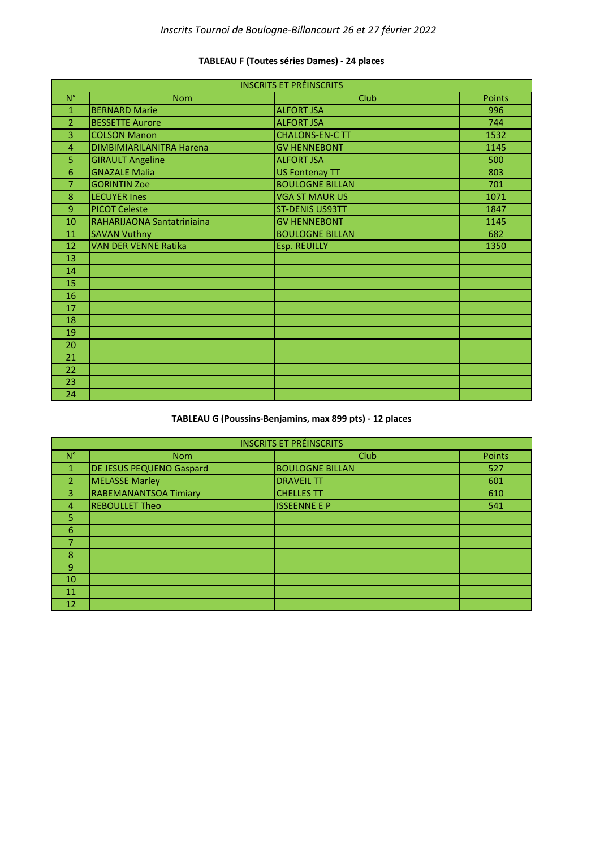| <b>INSCRITS ET PRÉINSCRITS</b> |                             |                        |        |
|--------------------------------|-----------------------------|------------------------|--------|
| $N^{\circ}$                    | <b>Nom</b>                  | <b>Club</b>            | Points |
| $\mathbf{1}$                   | <b>BERNARD Marie</b>        | <b>ALFORT JSA</b>      | 996    |
| $\overline{2}$                 | <b>BESSETTE Aurore</b>      | <b>ALFORT JSA</b>      | 744    |
| $\overline{3}$                 | <b>COLSON Manon</b>         | <b>CHALONS-EN-C TT</b> | 1532   |
| 4                              | DIMBIMIARILANITRA Harena    | <b>GV HENNEBONT</b>    | 1145   |
| 5                              | <b>GIRAULT Angeline</b>     | <b>ALFORT JSA</b>      | 500    |
| 6                              | <b>GNAZALE Malia</b>        | <b>US Fontenay TT</b>  | 803    |
| $\overline{7}$                 | <b>GORINTIN Zoe</b>         | <b>BOULOGNE BILLAN</b> | 701    |
| 8                              | <b>LECUYER Ines</b>         | <b>VGA ST MAUR US</b>  | 1071   |
| $\overline{9}$                 | <b>PICOT Celeste</b>        | <b>ST-DENIS US93TT</b> | 1847   |
| 10                             | RAHARIJAONA Santatriniaina  | <b>GV HENNEBONT</b>    | 1145   |
| 11                             | <b>SAVAN Vuthny</b>         | <b>BOULOGNE BILLAN</b> | 682    |
| 12                             | <b>VAN DER VENNE Ratika</b> | Esp. REUILLY           | 1350   |
| 13                             |                             |                        |        |
| 14                             |                             |                        |        |
| 15                             |                             |                        |        |
| 16                             |                             |                        |        |
| 17                             |                             |                        |        |
| 18                             |                             |                        |        |
| 19                             |                             |                        |        |
| 20                             |                             |                        |        |
| 21                             |                             |                        |        |
| 22                             |                             |                        |        |
| 23                             |                             |                        |        |
| 24                             |                             |                        |        |

## **TABLEAU F (Toutes séries Dames) - 24 places**

# **TABLEAU G (Poussins-Benjamins, max 899 pts) - 12 places**

| <b>INSCRITS ET PRÉINSCRITS</b> |                                 |                        |        |
|--------------------------------|---------------------------------|------------------------|--------|
| $N^{\circ}$                    | <b>Nom</b>                      | Club                   | Points |
|                                | <b>DE JESUS PEQUENO Gaspard</b> | <b>BOULOGNE BILLAN</b> | 527    |
| $\overline{2}$                 | <b>MELASSE Marley</b>           | <b>DRAVEIL TT</b>      | 601    |
| 3                              | <b>RABEMANANTSOA Timiary</b>    | <b>CHELLES TT</b>      | 610    |
| 4                              | <b>REBOULLET Theo</b>           | <b>ISSEENNE E P</b>    | 541    |
| 5                              |                                 |                        |        |
| 6                              |                                 |                        |        |
| 7                              |                                 |                        |        |
| 8                              |                                 |                        |        |
| 9                              |                                 |                        |        |
| 10                             |                                 |                        |        |
| 11                             |                                 |                        |        |
| 12                             |                                 |                        |        |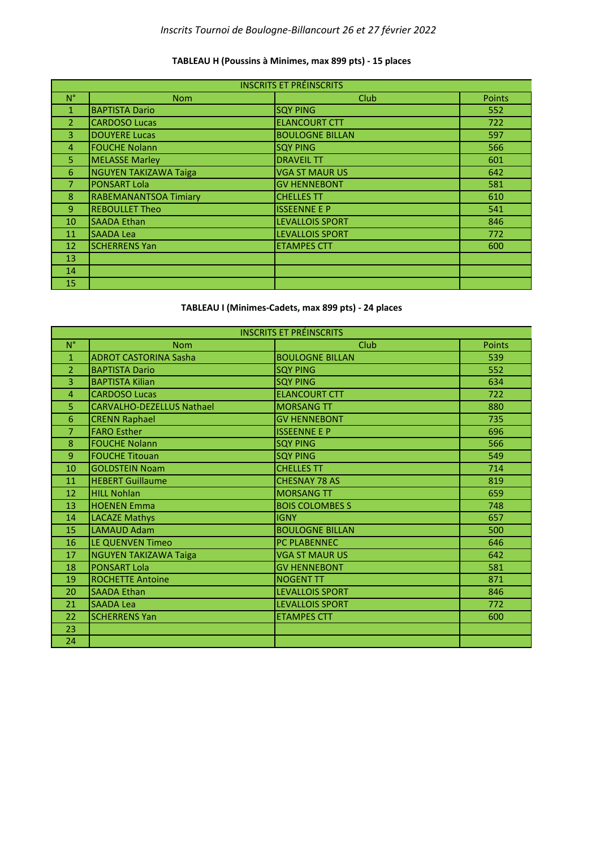# *Inscrits Tournoi de Boulogne-Billancourt 26 et 27 février 2022*

### **TABLEAU H (Poussins à Minimes, max 899 pts) - 15 places**

| <b>INSCRITS ET PRÉINSCRITS</b> |                              |                        |               |
|--------------------------------|------------------------------|------------------------|---------------|
| $N^{\circ}$                    | <b>Nom</b>                   | Club                   | <b>Points</b> |
|                                | <b>BAPTISTA Dario</b>        | <b>SQY PING</b>        | 552           |
| 2                              | <b>CARDOSO Lucas</b>         | <b>ELANCOURT CTT</b>   | 722           |
| 3.                             | <b>DOUYERE Lucas</b>         | <b>BOULOGNE BILLAN</b> | 597           |
| 4                              | <b>FOUCHE Nolann</b>         | <b>SQY PING</b>        | 566           |
| 5.                             | <b>MELASSE Marley</b>        | <b>DRAVEIL TT</b>      | 601           |
| 6                              | <b>NGUYEN TAKIZAWA Taiga</b> | <b>VGA ST MAUR US</b>  | 642           |
|                                | <b>PONSART Lola</b>          | <b>GV HENNEBONT</b>    | 581           |
| 8                              | <b>RABEMANANTSOA Timiary</b> | <b>CHELLES TT</b>      | 610           |
| $\overline{9}$                 | <b>REBOULLET Theo</b>        | <b>ISSEENNE E P</b>    | 541           |
| 10                             | <b>SAADA Ethan</b>           | <b>LEVALLOIS SPORT</b> | 846           |
| 11                             | <b>SAADA Lea</b>             | <b>LEVALLOIS SPORT</b> | 772           |
| 12                             | <b>SCHERRENS Yan</b>         | <b>ETAMPES CTT</b>     | 600           |
| 13                             |                              |                        |               |
| 14                             |                              |                        |               |
| 15                             |                              |                        |               |

#### **TABLEAU I (Minimes-Cadets, max 899 pts) - 24 places**

| <b>INSCRITS ET PRÉINSCRITS</b> |                                  |                        |               |
|--------------------------------|----------------------------------|------------------------|---------------|
| $N^{\circ}$                    | <b>Nom</b>                       | <b>Club</b>            | <b>Points</b> |
| $\mathbf{1}$                   | <b>ADROT CASTORINA Sasha</b>     | <b>BOULOGNE BILLAN</b> | 539           |
| $\overline{2}$                 | <b>BAPTISTA Dario</b>            | <b>SQY PING</b>        | 552           |
| 3                              | <b>BAPTISTA Kilian</b>           | <b>SQY PING</b>        | 634           |
| 4                              | <b>CARDOSO Lucas</b>             | <b>ELANCOURT CTT</b>   | 722           |
| 5                              | <b>CARVALHO-DEZELLUS Nathael</b> | <b>MORSANG TT</b>      | 880           |
| 6                              | <b>CRENN Raphael</b>             | <b>GV HENNEBONT</b>    | 735           |
| 7                              | <b>FARO Esther</b>               | <b>ISSEENNE E P</b>    | 696           |
| 8                              | <b>FOUCHE Nolann</b>             | <b>SQY PING</b>        | 566           |
| $\overline{9}$                 | <b>FOUCHE Titouan</b>            | <b>SQY PING</b>        | 549           |
| 10                             | <b>GOLDSTEIN Noam</b>            | <b>CHELLES TT</b>      | 714           |
| 11                             | <b>HEBERT Guillaume</b>          | <b>CHESNAY 78 AS</b>   | 819           |
| 12                             | <b>HILL Nohlan</b>               | <b>MORSANG TT</b>      | 659           |
| 13                             | <b>HOENEN Emma</b>               | <b>BOIS COLOMBES S</b> | 748           |
| 14                             | <b>LACAZE Mathys</b>             | <b>IGNY</b>            | 657           |
| 15                             | <b>LAMAUD Adam</b>               | <b>BOULOGNE BILLAN</b> | 500           |
| 16                             | LE QUENVEN Timeo                 | <b>PC PLABENNEC</b>    | 646           |
| 17                             | <b>NGUYEN TAKIZAWA Taiga</b>     | <b>VGA ST MAUR US</b>  | 642           |
| 18                             | <b>PONSART Lola</b>              | <b>GV HENNEBONT</b>    | 581           |
| 19                             | <b>ROCHETTE Antoine</b>          | <b>NOGENT TT</b>       | 871           |
| 20                             | <b>SAADA Ethan</b>               | <b>LEVALLOIS SPORT</b> | 846           |
| 21                             | <b>SAADA Lea</b>                 | <b>LEVALLOIS SPORT</b> | 772           |
| 22                             | <b>SCHERRENS Yan</b>             | <b>ETAMPES CTT</b>     | 600           |
| 23                             |                                  |                        |               |
| 24                             |                                  |                        |               |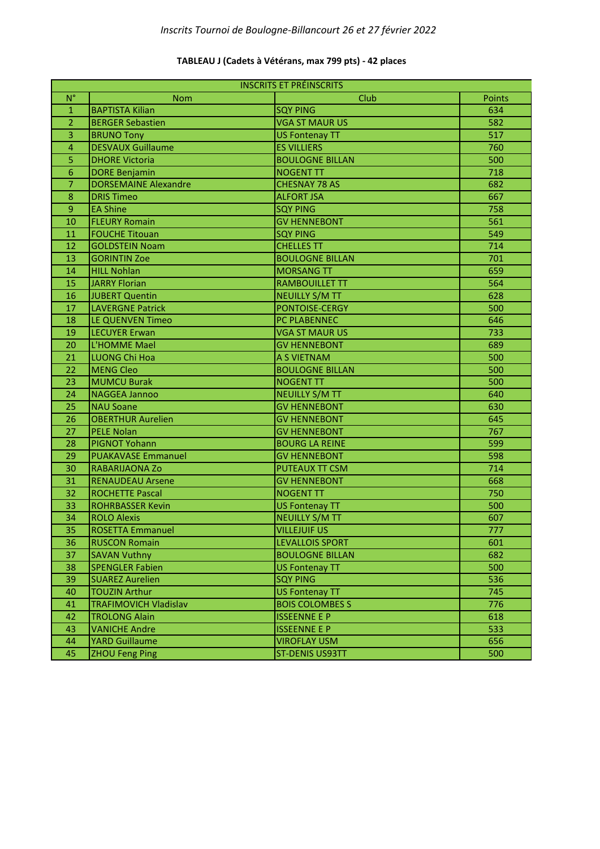### **TABLEAU J (Cadets à Vétérans, max 799 pts) - 42 places**

| <b>INSCRITS ET PRÉINSCRITS</b> |                              |                        |        |
|--------------------------------|------------------------------|------------------------|--------|
| $N^{\circ}$                    | <b>Nom</b>                   | Club                   | Points |
| 1                              | <b>BAPTISTA Kilian</b>       | <b>SQY PING</b>        | 634    |
| $\overline{2}$                 | <b>BERGER Sebastien</b>      | <b>VGA ST MAUR US</b>  | 582    |
| 3                              | <b>BRUNO Tony</b>            | <b>US Fontenay TT</b>  | 517    |
| $\overline{\mathbf{4}}$        | <b>DESVAUX Guillaume</b>     | <b>ES VILLIERS</b>     | 760    |
| 5                              | <b>DHORE Victoria</b>        | <b>BOULOGNE BILLAN</b> | 500    |
| 6                              | <b>DORE Benjamin</b>         | <b>NOGENT TT</b>       | 718    |
| $\overline{7}$                 | <b>DORSEMAINE Alexandre</b>  | <b>CHESNAY 78 AS</b>   | 682    |
| 8                              | <b>DRIS Timeo</b>            | <b>ALFORT JSA</b>      | 667    |
| 9                              | <b>EA Shine</b>              | <b>SQY PING</b>        | 758    |
| 10                             | <b>FLEURY Romain</b>         | <b>GV HENNEBONT</b>    | 561    |
| 11                             | <b>FOUCHE Titouan</b>        | <b>SQY PING</b>        | 549    |
| 12                             | <b>GOLDSTEIN Noam</b>        | <b>CHELLES TT</b>      | 714    |
| 13                             | <b>GORINTIN Zoe</b>          | <b>BOULOGNE BILLAN</b> | 701    |
| 14                             | <b>HILL Nohlan</b>           | <b>MORSANG TT</b>      | 659    |
| 15                             | <b>JARRY Florian</b>         | <b>RAMBOUILLET TT</b>  | 564    |
| 16                             | <b>JUBERT Quentin</b>        | <b>NEUILLY S/M TT</b>  | 628    |
| 17                             | <b>LAVERGNE Patrick</b>      | PONTOISE-CERGY         | 500    |
| 18                             | <b>LE QUENVEN Timeo</b>      | PC PLABENNEC           | 646    |
| 19                             | <b>LECUYER Erwan</b>         | <b>VGA ST MAUR US</b>  | 733    |
| 20                             | L'HOMME Mael                 | <b>GV HENNEBONT</b>    | 689    |
| 21                             | <b>LUONG Chi Hoa</b>         | A S VIETNAM            | 500    |
| 22                             | <b>MENG Cleo</b>             | <b>BOULOGNE BILLAN</b> | 500    |
| 23                             | <b>MUMCU Burak</b>           | <b>NOGENT TT</b>       | 500    |
| 24                             | <b>NAGGEA Jannoo</b>         | <b>NEUILLY S/M TT</b>  | 640    |
| 25                             | <b>NAU Soane</b>             | <b>GV HENNEBONT</b>    | 630    |
| 26                             | <b>OBERTHUR Aurelien</b>     | <b>GV HENNEBONT</b>    | 645    |
| 27                             | <b>PELE Nolan</b>            | <b>GV HENNEBONT</b>    | 767    |
| 28                             | <b>PIGNOT Yohann</b>         | <b>BOURG LA REINE</b>  | 599    |
| 29                             | <b>PUAKAVASE Emmanuel</b>    | <b>GV HENNEBONT</b>    | 598    |
| 30                             | RABARIJAONA Zo               | <b>PUTEAUX TT CSM</b>  | 714    |
| 31                             | <b>RENAUDEAU Arsene</b>      | <b>GV HENNEBONT</b>    | 668    |
| 32                             | <b>ROCHETTE Pascal</b>       | <b>NOGENT TT</b>       | 750    |
| 33                             | <b>ROHRBASSER Kevin</b>      | <b>US Fontenay TT</b>  | 500    |
| 34                             | <b>ROLO Alexis</b>           | <b>NEUILLY S/M TT</b>  | 607    |
| 35                             | <b>ROSETTA Emmanuel</b>      | <b>VILLEJUIF US</b>    | 777    |
| 36                             | <b>RUSCON Romain</b>         | <b>LEVALLOIS SPORT</b> | 601    |
| 37                             | <b>SAVAN Vuthny</b>          | <b>BOULOGNE BILLAN</b> | 682    |
| 38                             | <b>SPENGLER Fabien</b>       | <b>US Fontenay TT</b>  | 500    |
| 39                             | <b>SUAREZ Aurelien</b>       | <b>SQY PING</b>        | 536    |
| 40                             | <b>TOUZIN Arthur</b>         | <b>US Fontenay TT</b>  | 745    |
| 41                             | <b>TRAFIMOVICH Vladislav</b> | <b>BOIS COLOMBES S</b> | 776    |
| 42                             | <b>TROLONG Alain</b>         | <b>ISSEENNE E P</b>    | 618    |
| 43                             | <b>VANICHE Andre</b>         | <b>ISSEENNE E P</b>    | 533    |
| 44                             | <b>YARD Guillaume</b>        | <b>VIROFLAY USM</b>    | 656    |
| 45                             | <b>ZHOU Feng Ping</b>        | <b>ST-DENIS US93TT</b> | 500    |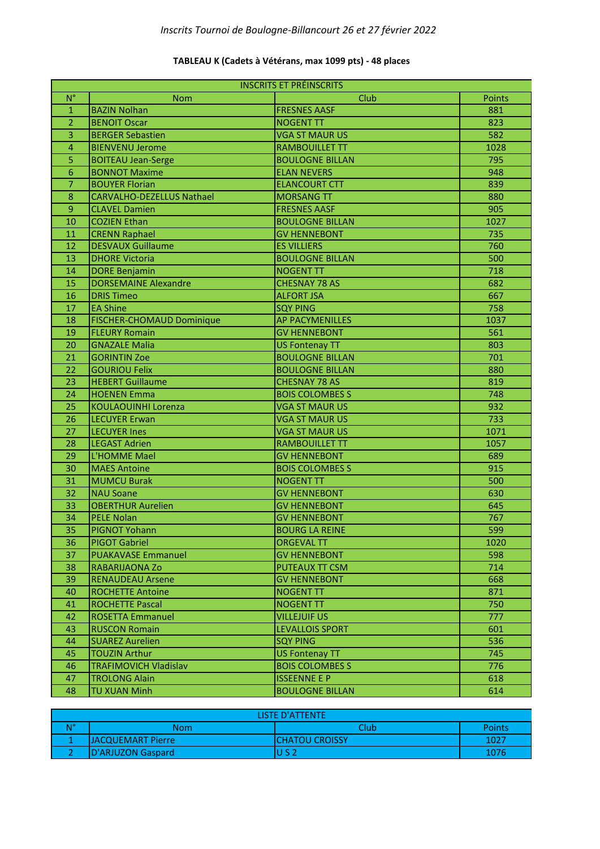## **TABLEAU K (Cadets à Vétérans, max 1099 pts) - 48 places**

| <b>INSCRITS ET PRÉINSCRITS</b> |                                               |                                            |        |
|--------------------------------|-----------------------------------------------|--------------------------------------------|--------|
| $N^{\circ}$                    | <b>Nom</b>                                    | Club                                       | Points |
| $\mathbf{1}$                   | <b>BAZIN Nolhan</b>                           | <b>FRESNES AASF</b>                        | 881    |
| $\overline{2}$                 | <b>BENOIT Oscar</b>                           | <b>NOGENT TT</b>                           | 823    |
| 3                              | <b>BERGER Sebastien</b>                       | <b>VGA ST MAUR US</b>                      | 582    |
| $\overline{\mathbf{4}}$        | <b>BIENVENU Jerome</b>                        | <b>RAMBOUILLET TT</b>                      | 1028   |
| 5                              | <b>BOITEAU Jean-Serge</b>                     | <b>BOULOGNE BILLAN</b>                     | 795    |
| 6                              | <b>BONNOT Maxime</b>                          | <b>ELAN NEVERS</b>                         | 948    |
| $\overline{7}$                 | <b>BOUYER Florian</b>                         | <b>ELANCOURT CTT</b>                       | 839    |
| 8                              | <b>CARVALHO-DEZELLUS Nathael</b>              | <b>MORSANG TT</b>                          | 880    |
| 9                              | <b>CLAVEL Damien</b>                          | <b>FRESNES AASF</b>                        | 905    |
| 10                             | <b>COZIEN Ethan</b>                           | <b>BOULOGNE BILLAN</b>                     | 1027   |
| 11                             | <b>CRENN Raphael</b>                          | <b>GV HENNEBONT</b>                        | 735    |
| 12                             | <b>DESVAUX Guillaume</b>                      | <b>ES VILLIERS</b>                         | 760    |
| 13                             | <b>DHORE Victoria</b>                         | <b>BOULOGNE BILLAN</b>                     | 500    |
| 14                             | <b>DORE Benjamin</b>                          | <b>NOGENT TT</b>                           | 718    |
| 15                             | <b>DORSEMAINE Alexandre</b>                   | <b>CHESNAY 78 AS</b>                       | 682    |
| 16                             | <b>DRIS Timeo</b>                             | <b>ALFORT JSA</b>                          | 667    |
| 17                             | <b>EA Shine</b>                               | <b>SQY PING</b>                            | 758    |
| 18                             | FISCHER-CHOMAUD Dominique                     | <b>AP PACYMENILLES</b>                     | 1037   |
| 19                             | <b>FLEURY Romain</b>                          | <b>GV HENNEBONT</b>                        | 561    |
| 20                             | <b>GNAZALE Malia</b>                          | <b>US Fontenay TT</b>                      | 803    |
| 21                             | <b>GORINTIN Zoe</b>                           | <b>BOULOGNE BILLAN</b>                     | 701    |
| 22                             | <b>GOURIOU Felix</b>                          | <b>BOULOGNE BILLAN</b>                     | 880    |
| 23                             | <b>HEBERT Guillaume</b>                       | <b>CHESNAY 78 AS</b>                       | 819    |
| 24                             | <b>HOENEN Emma</b>                            | <b>BOIS COLOMBES S</b>                     | 748    |
| 25                             | <b>KOULAOUINHI Lorenza</b>                    | <b>VGA ST MAUR US</b>                      | 932    |
| 26                             | <b>LECUYER Erwan</b>                          | <b>VGA ST MAUR US</b>                      | 733    |
| 27                             | <b>LECUYER Ines</b>                           | <b>VGA ST MAUR US</b>                      | 1071   |
| 28                             | <b>LEGAST Adrien</b>                          | <b>RAMBOUILLET TT</b>                      | 1057   |
| 29                             | L'HOMME Mael                                  | <b>GV HENNEBONT</b>                        | 689    |
|                                |                                               |                                            |        |
| 30                             | <b>MAES Antoine</b>                           | <b>BOIS COLOMBES S</b><br><b>NOGENT TT</b> | 915    |
| 31                             | <b>MUMCU Burak</b>                            |                                            | 500    |
| 32                             | <b>NAU Soane</b>                              | <b>GV HENNEBONT</b>                        | 630    |
| 33                             | <b>OBERTHUR Aurelien</b><br><b>PELE Nolan</b> | <b>GV HENNEBONT</b>                        | 645    |
| 34                             |                                               | <b>GV HENNEBONT</b>                        | 767    |
| 35                             | PIGNOT Yohann                                 | <b>BOURG LA REINE</b>                      | 599    |
| 36                             | <b>PIGOT Gabriel</b>                          | <b>ORGEVAL TT</b>                          | 1020   |
| 37                             | <b>PUAKAVASE Emmanuel</b>                     | <b>GV HENNEBONT</b>                        | 598    |
| 38                             | RABARIJAONA Zo                                | <b>PUTEAUX TT CSM</b>                      | 714    |
| 39                             | <b>RENAUDEAU Arsene</b>                       | <b>GV HENNEBONT</b>                        | 668    |
| 40                             | <b>ROCHETTE Antoine</b>                       | <b>NOGENT TT</b>                           | 871    |
| 41                             | <b>ROCHETTE Pascal</b>                        | <b>NOGENT TT</b>                           | 750    |
| 42                             | <b>ROSETTA Emmanuel</b>                       | <b>VILLEJUIF US</b>                        | 777    |
| 43                             | <b>RUSCON Romain</b>                          | <b>LEVALLOIS SPORT</b>                     | 601    |
| 44                             | <b>SUAREZ Aurelien</b>                        | <b>SQY PING</b>                            | 536    |
| 45                             | <b>TOUZIN Arthur</b>                          | <b>US Fontenay TT</b>                      | 745    |
| 46                             | <b>TRAFIMOVICH Vladislav</b>                  | <b>BOIS COLOMBES S</b>                     | 776    |
| 47                             | <b>TROLONG Alain</b>                          | <b>ISSEENNE E P</b>                        | 618    |
| 48                             | <b>TU XUAN Minh</b>                           | <b>BOULOGNE BILLAN</b>                     | 614    |

| <b>LISTE D'ATTENTE</b> |                   |                        |        |
|------------------------|-------------------|------------------------|--------|
| N°                     | Nom               | <b>Slub</b>            | Points |
|                        | JACQUEMART Pierre | <b>ICHATOU CROISSY</b> | 1027   |
|                        | D'ARJUZON Gaspard |                        | 1076   |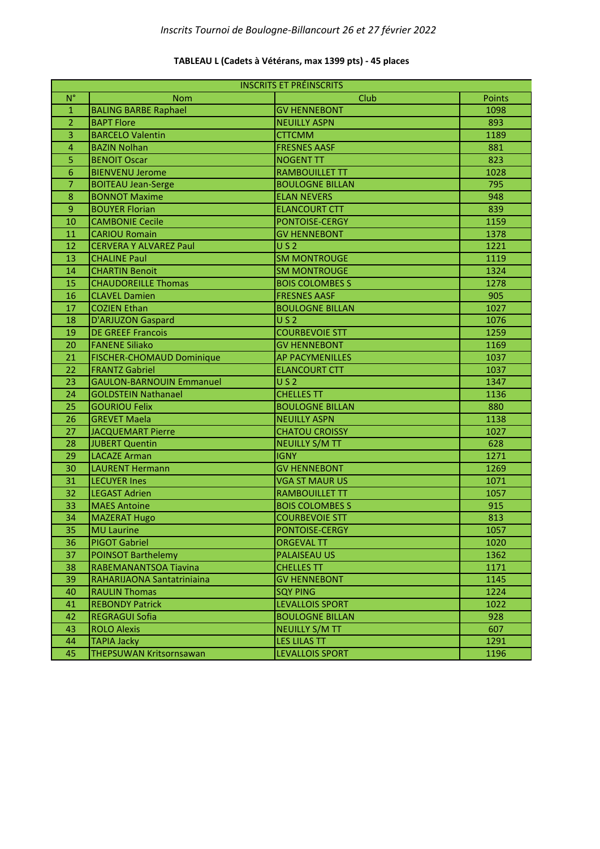| <b>INSCRITS ET PRÉINSCRITS</b> |                                  |                        |               |
|--------------------------------|----------------------------------|------------------------|---------------|
| $N^{\circ}$                    | <b>Nom</b>                       | Club                   | <b>Points</b> |
| $\mathbf{1}$                   | <b>BALING BARBE Raphael</b>      | <b>GV HENNEBONT</b>    | 1098          |
| $\overline{2}$                 | <b>BAPT Flore</b>                | <b>NEUILLY ASPN</b>    | 893           |
| 3                              | <b>BARCELO Valentin</b>          | <b>CTTCMM</b>          | 1189          |
| $\overline{4}$                 | <b>BAZIN Nolhan</b>              | <b>FRESNES AASF</b>    | 881           |
| 5                              | <b>BENOIT Oscar</b>              | <b>NOGENT TT</b>       | 823           |
| $6\phantom{1}6$                | <b>BIENVENU Jerome</b>           | <b>RAMBOUILLET TT</b>  | 1028          |
| $\overline{7}$                 | <b>BOITEAU Jean-Serge</b>        | <b>BOULOGNE BILLAN</b> | 795           |
| $\boldsymbol{8}$               | <b>BONNOT Maxime</b>             | <b>ELAN NEVERS</b>     | 948           |
| 9                              | <b>BOUYER Florian</b>            | <b>ELANCOURT CTT</b>   | 839           |
| 10                             | <b>CAMBONIE Cecile</b>           | PONTOISE-CERGY         | 1159          |
| 11                             | <b>CARIOU Romain</b>             | <b>GV HENNEBONT</b>    | 1378          |
| 12                             | <b>CERVERA Y ALVAREZ Paul</b>    | US <sub>2</sub>        | 1221          |
| 13                             | <b>CHALINE Paul</b>              | <b>SM MONTROUGE</b>    | 1119          |
| 14                             | <b>CHARTIN Benoit</b>            | <b>SM MONTROUGE</b>    | 1324          |
| 15                             | <b>CHAUDOREILLE Thomas</b>       | <b>BOIS COLOMBES S</b> | 1278          |
| 16                             | <b>CLAVEL Damien</b>             | <b>FRESNES AASF</b>    | 905           |
| 17                             | <b>COZIEN Ethan</b>              | <b>BOULOGNE BILLAN</b> | 1027          |
| 18                             | <b>D'ARJUZON Gaspard</b>         | US <sub>2</sub>        | 1076          |
| 19                             | <b>DE GREEF Francois</b>         | <b>COURBEVOIE STT</b>  | 1259          |
| 20                             | <b>FANENE Siliako</b>            | <b>GV HENNEBONT</b>    | 1169          |
| 21                             | <b>FISCHER-CHOMAUD Dominique</b> | <b>AP PACYMENILLES</b> | 1037          |
| 22                             | <b>FRANTZ Gabriel</b>            | <b>ELANCOURT CTT</b>   | 1037          |
| 23                             | <b>GAULON-BARNOUIN Emmanuel</b>  | US <sub>2</sub>        | 1347          |
| 24                             | <b>GOLDSTEIN Nathanael</b>       | <b>CHELLES TT</b>      | 1136          |
| 25                             | <b>GOURIOU Felix</b>             | <b>BOULOGNE BILLAN</b> | 880           |
| 26                             | <b>GREVET Maela</b>              | <b>NEUILLY ASPN</b>    | 1138          |
| 27                             | <b>JACQUEMART Pierre</b>         | <b>CHATOU CROISSY</b>  | 1027          |
| 28                             | JUBERT Quentin                   | <b>NEUILLY S/M TT</b>  | 628           |
| 29                             | <b>LACAZE Arman</b>              | <b>IGNY</b>            | 1271          |
| 30                             | <b>LAURENT Hermann</b>           | <b>GV HENNEBONT</b>    | 1269          |
| 31                             | <b>LECUYER Ines</b>              | <b>VGA ST MAUR US</b>  | 1071          |
| 32                             | <b>LEGAST Adrien</b>             | <b>RAMBOUILLET TT</b>  | 1057          |
| 33                             | <b>MAES Antoine</b>              | <b>BOIS COLOMBES S</b> | 915           |
| 34                             | <b>MAZERAT Hugo</b>              | <b>COURBEVOIE STT</b>  | 813           |
| 35                             | <b>MU Laurine</b>                | PONTOISE-CERGY         | 1057          |
| 36                             | <b>PIGOT Gabriel</b>             | <b>ORGEVAL TT</b>      | 1020          |
| 37                             | <b>POINSOT Barthelemy</b>        | <b>PALAISEAU US</b>    | 1362          |
| 38                             | RABEMANANTSOA Tiavina            | <b>CHELLES TT</b>      | 1171          |
| 39                             | RAHARIJAONA Santatriniaina       | <b>GV HENNEBONT</b>    | 1145          |
| 40                             | <b>RAULIN Thomas</b>             | <b>SQY PING</b>        | 1224          |
| 41                             | <b>REBONDY Patrick</b>           | <b>LEVALLOIS SPORT</b> | 1022          |
| 42                             | <b>REGRAGUI Sofia</b>            | <b>BOULOGNE BILLAN</b> | 928           |
| 43                             | <b>ROLO Alexis</b>               | <b>NEUILLY S/M TT</b>  | 607           |
| 44                             | <b>TAPIA Jacky</b>               | <b>LES LILAS TT</b>    | 1291          |
| 45                             | THEPSUWAN Kritsornsawan          | <b>LEVALLOIS SPORT</b> | 1196          |

## **TABLEAU L (Cadets à Vétérans, max 1399 pts) - 45 places**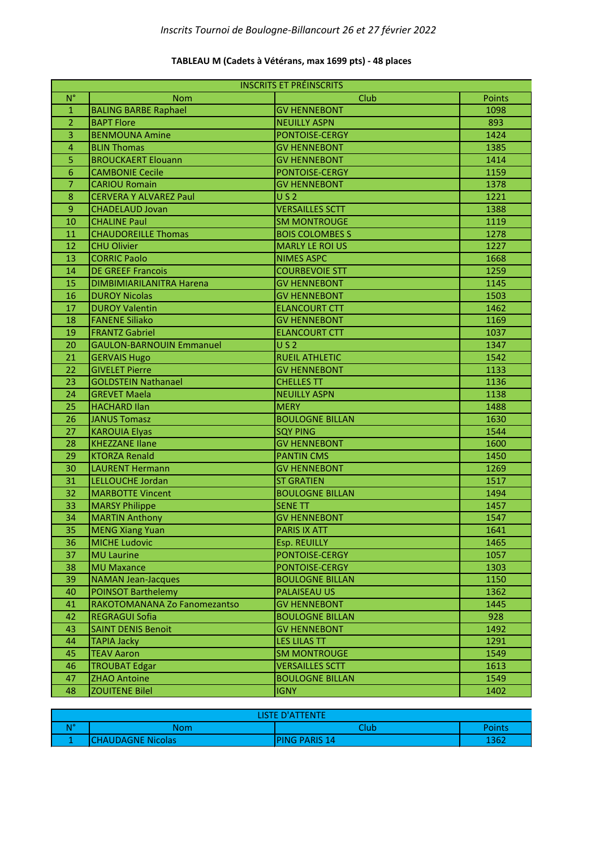### **TABLEAU M (Cadets à Vétérans, max 1699 pts) - 48 places**

| <b>INSCRITS ET PRÉINSCRITS</b> |                                 |                        |        |
|--------------------------------|---------------------------------|------------------------|--------|
| $N^{\circ}$                    | <b>Nom</b>                      | Club                   | Points |
| $\mathbf{1}$                   | <b>BALING BARBE Raphael</b>     | <b>GV HENNEBONT</b>    | 1098   |
| $\overline{2}$                 | <b>BAPT Flore</b>               | <b>NEUILLY ASPN</b>    | 893    |
| 3                              | <b>BENMOUNA Amine</b>           | PONTOISE-CERGY         | 1424   |
| $\overline{4}$                 | <b>BLIN Thomas</b>              | <b>GV HENNEBONT</b>    | 1385   |
| 5                              | <b>BROUCKAERT Elouann</b>       | <b>GV HENNEBONT</b>    | 1414   |
| 6                              | <b>CAMBONIE Cecile</b>          | PONTOISE-CERGY         | 1159   |
| 7                              | <b>CARIOU Romain</b>            | <b>GV HENNEBONT</b>    | 1378   |
| 8                              | <b>CERVERA Y ALVAREZ Paul</b>   | US <sub>2</sub>        | 1221   |
| 9                              | <b>CHADELAUD Jovan</b>          | <b>VERSAILLES SCTT</b> | 1388   |
| 10                             | <b>CHALINE Paul</b>             | <b>SM MONTROUGE</b>    | 1119   |
| 11                             | <b>CHAUDOREILLE Thomas</b>      | <b>BOIS COLOMBES S</b> | 1278   |
| 12                             | <b>CHU Olivier</b>              | <b>MARLY LE ROI US</b> | 1227   |
| 13                             | <b>CORRIC Paolo</b>             | <b>NIMES ASPC</b>      | 1668   |
| 14                             | <b>DE GREEF Francois</b>        | <b>COURBEVOIE STT</b>  | 1259   |
| 15                             | DIMBIMIARILANITRA Harena        | <b>GV HENNEBONT</b>    | 1145   |
| 16                             | <b>DUROY Nicolas</b>            | <b>GV HENNEBONT</b>    | 1503   |
| 17                             | <b>DUROY Valentin</b>           | <b>ELANCOURT CTT</b>   | 1462   |
| 18                             | <b>FANENE Siliako</b>           | <b>GV HENNEBONT</b>    | 1169   |
| 19                             | <b>FRANTZ Gabriel</b>           | <b>ELANCOURT CTT</b>   | 1037   |
| 20                             | <b>GAULON-BARNOUIN Emmanuel</b> | U S 2                  | 1347   |
| 21                             | <b>GERVAIS Hugo</b>             | <b>RUEIL ATHLETIC</b>  | 1542   |
| 22                             | <b>GIVELET Pierre</b>           | <b>GV HENNEBONT</b>    | 1133   |
| 23                             | <b>GOLDSTEIN Nathanael</b>      | <b>CHELLES TT</b>      | 1136   |
| 24                             | <b>GREVET Maela</b>             | <b>NEUILLY ASPN</b>    | 1138   |
| 25                             | <b>HACHARD Ilan</b>             | <b>MERY</b>            | 1488   |
| 26                             | <b>JANUS Tomasz</b>             | <b>BOULOGNE BILLAN</b> | 1630   |
| 27                             | <b>KAROUIA Elyas</b>            | <b>SQY PING</b>        | 1544   |
| 28                             | <b>KHEZZANE Ilane</b>           | <b>GV HENNEBONT</b>    | 1600   |
| 29                             | <b>KTORZA Renald</b>            | <b>PANTIN CMS</b>      | 1450   |
| 30                             | <b>LAURENT Hermann</b>          | <b>GV HENNEBONT</b>    | 1269   |
| 31                             | LELLOUCHE Jordan                | <b>ST GRATIEN</b>      | 1517   |
| 32                             | <b>MARBOTTE Vincent</b>         | <b>BOULOGNE BILLAN</b> | 1494   |
| 33                             | <b>MARSY Philippe</b>           | <b>SENE TT</b>         | 1457   |
| 34                             | <b>MARTIN Anthony</b>           | <b>GV HENNEBONT</b>    | 1547   |
| 35                             | <b>MENG Xiang Yuan</b>          | PARIS IX ATT           | 1641   |
| 36                             | <b>MICHE Ludovic</b>            | Esp. REUILLY           | 1465   |
| 37                             | <b>MU Laurine</b>               | PONTOISE-CERGY         | 1057   |
| 38                             | <b>MU Maxance</b>               | PONTOISE-CERGY         | 1303   |
| 39                             | <b>NAMAN Jean-Jacques</b>       | <b>BOULOGNE BILLAN</b> | 1150   |
| 40                             | <b>POINSOT Barthelemy</b>       | <b>PALAISEAU US</b>    | 1362   |
| 41                             | RAKOTOMANANA Zo Fanomezantso    | <b>GV HENNEBONT</b>    | 1445   |
| 42                             | <b>REGRAGUI Sofia</b>           | <b>BOULOGNE BILLAN</b> | 928    |
| 43                             | <b>SAINT DENIS Benoit</b>       | <b>GV HENNEBONT</b>    | 1492   |
| 44                             | <b>TAPIA Jacky</b>              | <b>LES LILAS TT</b>    | 1291   |
| 45                             | <b>TEAV Aaron</b>               | <b>SM MONTROUGE</b>    | 1549   |
| 46                             | <b>TROUBAT Edgar</b>            | <b>VERSAILLES SCTT</b> | 1613   |
| 47                             | <b>ZHAO Antoine</b>             | <b>BOULOGNE BILLAN</b> | 1549   |
| 48                             | <b>ZOUITENE Bilel</b>           | <b>IGNY</b>            | 1402   |

| <b>ILSTE D'ATTENTE</b>    |                          |                |        |
|---------------------------|--------------------------|----------------|--------|
| $\mathbf{M}^{\mathbf{p}}$ | Nom                      | <b>Nub</b>     | Points |
|                           | <b>CHAUDAGNE Nicolas</b> | IPING PARIS 14 | 1362   |